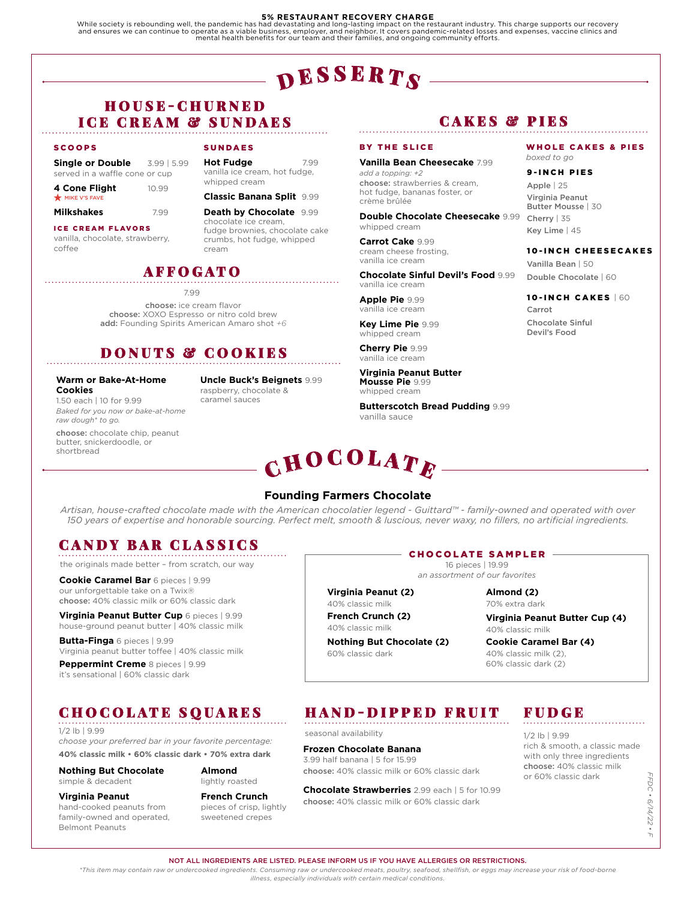### **5% RESTAURANT RECOVERY CHARGE**

While society is rebounding well, the pandemic has had devastating and long-lasting impact on the restaurant industry. This charge supports our recovery<br>and ensures we can continue to operate as a viable business, employer

# $\mathbf{p}$ esser $\boldsymbol{T}$ s

# H O U S E - C H U R N E D ICE CREAM & SUNDAES

### SCOOPS

**Single or Double** 3.99 | 5.99 served in a waffle cone or cup

| 4 Cone Flight | 10.99 |
|---------------|-------|
| MIKE V'S FAVE |       |

**Milkshakes** 799

ICE CREAM FLAVORS

vanilla, chocolate, strawberry, coffee

### SUNDAES

**Hot Fudge** 7.99 vanilla ice cream, hot fudge, whipped cream

### **Classic Banana Split** 9.99

**Death by Chocolate** 9.99 chocolate ice cream, fudge brownies, chocolate cake crumbs, hot fudge, whipped cream

## AFFOGATO

7.99

choose: ice cream flavor choose: XOXO Espresso or nitro cold brew add: Founding Spirits American Amaro shot *+6*

# DONUTS & COOKIES

### **Warm or Bake-At-Home Cookies**

1.50 each | 10 for 9.99 *Baked for you now or bake-at-home raw dough\* to go.*

choose: chocolate chip, peanut butter, snickerdoodle, or shortbread

**Uncle Buck's Beignets** 9.99

raspberry, chocolate & caramel sauces

### **Vanilla Bean Cheesecake** 7.99 *add a topping: +2*

CAKES & PIES

WHOLE CAKES & PIES

10-INCH CAKES | 60

10-INCH CHEESECAKES

Carrot

Chocolate Sinful Devil's Food

Vanilla Bean | 50 Double Chocolate | 60

*boxed to go* 9-INCH PIES Apple | 25 Virginia Peanut Butter Mousse | 30 Cherry | 35 Key Lime | 45

choose: strawberries & cream, hot fudge, bananas foster, or crème brûlée

**Double Chocolate Cheesecake** 9.99 whipped cream

**Carrot Cake** 9.99 cream cheese frosting, vanilla ice cream

BY THE SLICE

**Chocolate Sinful Devil's Food** 9.99 vanilla ice cream

**Apple Pie** 9.99 vanilla ice cream

**Key Lime Pie** 9.99 whipped cream

**Cherry Pie** 9.99 vanilla ice cream

**Virginia Peanut Butter Mousse Pie** 9.99 whipped cream

**Butterscotch Bread Pudding** 9.99 vanilla sauce

# $\mathbf C \mathbf H \mathbf O \mathbf C \mathbf O \mathbf L \mathbf A \mathbf T \mathbf E$

### **Founding Farmers Chocolate**

*Artisan, house-crafted chocolate made with the American chocolatier legend - Guittard™ - family-owned and operated with over 150 years of expertise and honorable sourcing. Perfect melt, smooth & luscious, never waxy, no fillers, no artificial ingredients.*

# CANDY BAR CLASSICS

the originals made better – from scratch, our way

**Cookie Caramel Bar** 6 pieces | 9.99 our unforgettable take on a Twix® choose: 40% classic milk or 60% classic dark

**Virginia Peanut Butter Cup** 6 pieces | 9.99 house-ground peanut butter | 40% classic milk

**Butta-Finga** 6 pieces | 9.99 Virginia peanut butter toffee | 40% classic milk

**Peppermint Creme** 8 pieces | 9.99 it's sensational | 60% classic dark

# CHOCOLATE SQUARES

1/2 lb | 9.99 *choose your preferred bar in your favorite percentage:* **40% classic milk • 60% classic dark • 70% extra dark**

**Nothing But Chocolate** simple & decadent

**Almond**  lightly roasted

**Virginia Peanut**

hand-cooked peanuts from family-owned and operated, Belmont Peanuts

**French Crunch** pieces of crisp, lightly sweetened crepes

### CHOCOLATE SAMPLER

16 pieces | 19.99 *an assortment of our favorites*

**Virginia Peanut (2)**

40% classic milk **French Crunch (2)**

40% classic milk

**Nothing But Chocolate (2)**  60% classic dark

**Almond (2)**

70% extra dark

**Virginia Peanut Butter Cup (4)** 40% classic milk

40% classic milk (2), 60% classic dark (2)

# HAND-DIPPED FRUIT

seasonal availability

**Frozen Chocolate Banana**  3.99 half banana | 5 for 15.99 choose: 40% classic milk or 60% classic dark

**Chocolate Strawberries** 2.99 each | 5 for 10.99 choose: 40% classic milk or 60% classic dark

# FUDGE

1/2 lb | 9.99 rich & smooth, a classic made with only three ingredients choose: 40% classic milk or 60% classic dark

FFDC • 6/14/22 • F *FFDC • 6/14/22 • F*

### NOT ALL INGREDIENTS ARE LISTED. PLEASE INFORM US IF YOU HAVE ALLERGIES OR RESTRICTIONS.

*\*This item may contain raw or undercooked ingredients. Consuming raw or undercooked meats, poultry, seafood, shellfish, or eggs may increase your risk of food-borne illness, especially individuals with certain medical conditions.*

**Cookie Caramel Bar (4)**